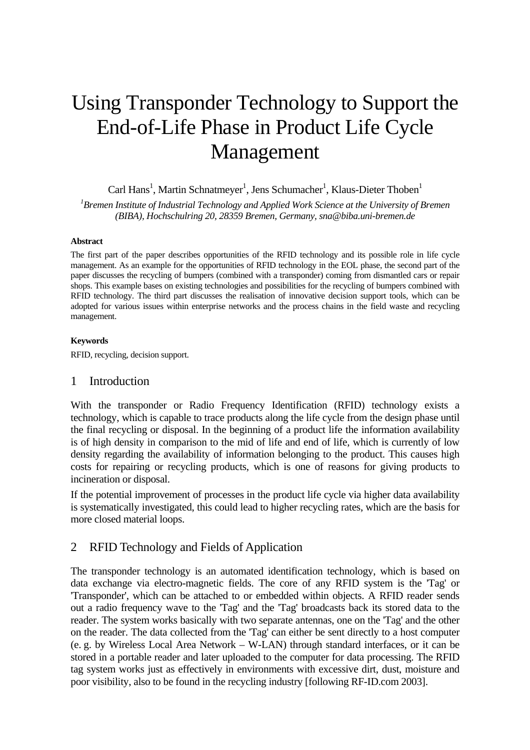# Using Transponder Technology to Support the End-of-Life Phase in Product Life Cycle Management

# Carl Hans<sup>1</sup>, Martin Schnatmeyer<sup>1</sup>, Jens Schumacher<sup>1</sup>, Klaus-Dieter Thoben<sup>1</sup>

*1 Bremen Institute of Industrial Technology and Applied Work Science at the University of Bremen (BIBA), Hochschulring 20, 28359 Bremen, Germany, sna@biba.uni-bremen.de* 

#### **Abstract**

The first part of the paper describes opportunities of the RFID technology and its possible role in life cycle management. As an example for the opportunities of RFID technology in the EOL phase, the second part of the paper discusses the recycling of bumpers (combined with a transponder) coming from dismantled cars or repair shops. This example bases on existing technologies and possibilities for the recycling of bumpers combined with RFID technology. The third part discusses the realisation of innovative decision support tools, which can be adopted for various issues within enterprise networks and the process chains in the field waste and recycling management.

#### **Keywords**

RFID, recycling, decision support.

## 1 Introduction

With the transponder or Radio Frequency Identification (RFID) technology exists a technology, which is capable to trace products along the life cycle from the design phase until the final recycling or disposal. In the beginning of a product life the information availability is of high density in comparison to the mid of life and end of life, which is currently of low density regarding the availability of information belonging to the product. This causes high costs for repairing or recycling products, which is one of reasons for giving products to incineration or disposal.

If the potential improvement of processes in the product life cycle via higher data availability is systematically investigated, this could lead to higher recycling rates, which are the basis for more closed material loops.

## 2 RFID Technology and Fields of Application

The transponder technology is an automated identification technology, which is based on data exchange via electro-magnetic fields. The core of any RFID system is the 'Tag' or 'Transponder', which can be attached to or embedded within objects. A RFID reader sends out a radio frequency wave to the 'Tag' and the 'Tag' broadcasts back its stored data to the reader. The system works basically with two separate antennas, one on the 'Tag' and the other on the reader. The data collected from the 'Tag' can either be sent directly to a host computer (e. g. by Wireless Local Area Network – W-LAN) through standard interfaces, or it can be stored in a portable reader and later uploaded to the computer for data processing. The RFID tag system works just as effectively in environments with excessive dirt, dust, moisture and poor visibility, also to be found in the recycling industry [following RF-ID.com 2003].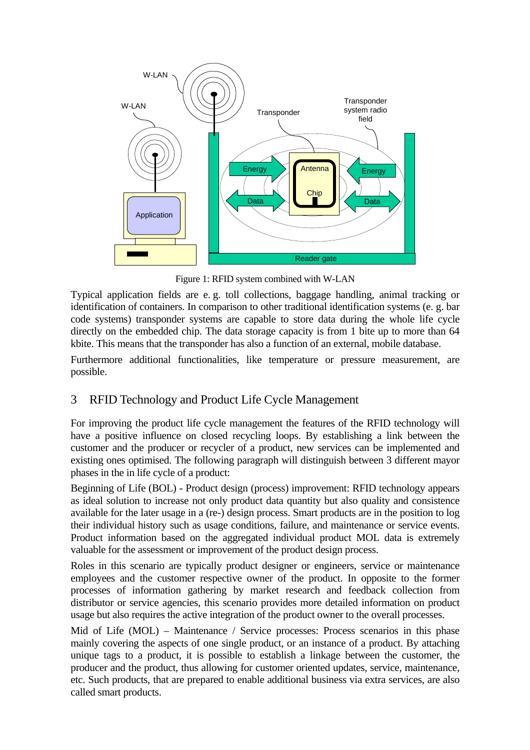<span id="page-1-0"></span>

Figure 1: RFID system combined with W-LAN

Typical application fields are e. g. toll collections, baggage handling, animal tracking or identification of containers. In comparison to other traditional identification systems (e. g. bar code systems) transponder systems are capable to store data during the whole life cycle directly on the embedded chip. The data storage capacity is from 1 bite up to more than 64 kbite. This means that the transponder has also a function of an external, mobile database.

Furthermore additional functionalities, like temperature or pressure measurement, are possible.

# 3 RFID Technology and Product Life Cycle Management

For improving the product life cycle management the features of the RFID technology will have a positive influence on closed recycling loops. By establishing a link between the customer and the producer or recycler of a product, new services can be implemented and existing ones optimised. The following paragraph will distinguish between 3 different mayor phases in the in life cycle of a product:

Beginning of Life (BOL) - Product design (process) improvement: RFID technology appears as ideal solution to increase not only product data quantity but also quality and consistence available for the later usage in a (re-) design process. Smart products are in the position to log their individual history such as usage conditions, failure, and maintenance or service events. Product information based on the aggregated individual product MOL data is extremely valuable for the assessment or improvement of the product design process.

Roles in this scenario are typically product designer or engineers, service or maintenance employees and the customer respective owner of the product. In opposite to the former processes of information gathering by market research and feedback collection from distributor or service agencies, this scenario provides more detailed information on product usage but also requires the active integration of the product owner to the overall processes.

Mid of Life (MOL) – Maintenance / Service processes: Process scenarios in this phase mainly covering the aspects of one single product, or an instance of a product. By attaching unique tags to a product, it is possible to establish a linkage between the customer, the producer and the product, thus allowing for customer oriented updates, service, maintenance, etc. Such products, that are prepared to enable additional business via extra services, are also called smart products.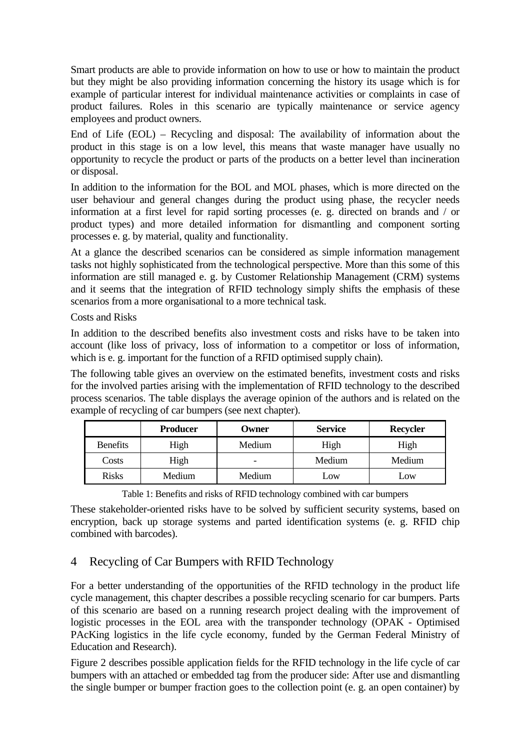Smart products are able to provide information on how to use or how to maintain the product but they might be also providing information concerning the history its usage which is for example of particular interest for individual maintenance activities or complaints in case of product failures. Roles in this scenario are typically maintenance or service agency employees and product owners.

End of Life (EOL) – Recycling and disposal: The availability of information about the product in this stage is on a low level, this means that waste manager have usually no opportunity to recycle the product or parts of the products on a better level than incineration or disposal.

In addition to the information for the BOL and MOL phases, which is more directed on the user behaviour and general changes during the product using phase, the recycler needs information at a first level for rapid sorting processes (e. g. directed on brands and / or product types) and more detailed information for dismantling and component sorting processes e. g. by material, quality and functionality.

At a glance the described scenarios can be considered as simple information management tasks not highly sophisticated from the technological perspective. More than this some of this information are still managed e. g. by Customer Relationship Management (CRM) systems and it seems that the integration of RFID technology simply shifts the emphasis of these scenarios from a more organisational to a more technical task.

Costs and Risks

In addition to the described benefits also investment costs and risks have to be taken into account (like loss of privacy, loss of information to a competitor or loss of information, which is e. g. important for the function of a RFID optimised supply chain).

The following table gives an overview on the estimated benefits, investment costs and risks for the involved parties arising with the implementation of RFID technology to the described process scenarios. The table displays the average opinion of the authors and is related on the example of recycling of car bumpers (see next chapter).

|                 | <b>Producer</b> | Owner  | <b>Service</b> | <b>Recycler</b> |
|-----------------|-----------------|--------|----------------|-----------------|
| <b>Benefits</b> | High            | Medium | High           | High            |
| Costs           | High            | -      | Medium         | Medium          |
| <b>Risks</b>    | Medium          | Medium | Low            | Low             |

Table 1: Benefits and risks of RFID technology combined with car bumpers

These stakeholder-oriented risks have to be solved by sufficient security systems, based on encryption, back up storage systems and parted identification systems (e. g. RFID chip combined with barcodes).

# 4 Recycling of Car Bumpers with RFID Technology

For a better understanding of the opportunities of the RFID technology in the product life cycle management, this chapter describes a possible recycling scenario for car bumpers. Parts of this scenario are based on a running research project dealing with the improvement of logistic processes in the EOL area with the transponder technology (OPAK - Optimised PAcKing logistics in the life cycle economy, funded by the German Federal Ministry of Education and Research).

[Figure 2](#page-3-0) describes possible application fields for the RFID technology in the life cycle of car bumpers with an attached or embedded tag from the producer side: After use and dismantling the single bumper or bumper fraction goes to the collection point (e. g. an open container) by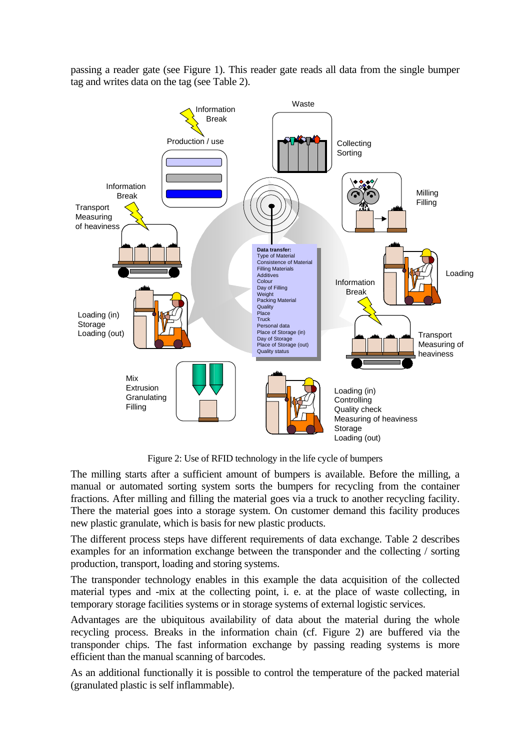<span id="page-3-0"></span>passing a reader gate (see [Figure 1\)](#page-1-0). This reader gate reads all data from the single bumper tag and writes data on the tag (see [Table 2\)](#page-4-0).



Figure 2: Use of RFID technology in the life cycle of bumpers

The milling starts after a sufficient amount of bumpers is available. Before the milling, a manual or automated sorting system sorts the bumpers for recycling from the container fractions. After milling and filling the material goes via a truck to another recycling facility. There the material goes into a storage system. On customer demand this facility produces new plastic granulate, which is basis for new plastic products.

The different process steps have different requirements of data exchange. [Table 2](#page-4-0) describes examples for an information exchange between the transponder and the collecting / sorting production, transport, loading and storing systems.

The transponder technology enables in this example the data acquisition of the collected material types and -mix at the collecting point, i. e. at the place of waste collecting, in temporary storage facilities systems or in storage systems of external logistic services.

Advantages are the ubiquitous availability of data about the material during the whole recycling process. Breaks in the information chain (cf. [Figure 2\)](#page-3-0) are buffered via the transponder chips. The fast information exchange by passing reading systems is more efficient than the manual scanning of barcodes.

As an additional functionally it is possible to control the temperature of the packed material (granulated plastic is self inflammable).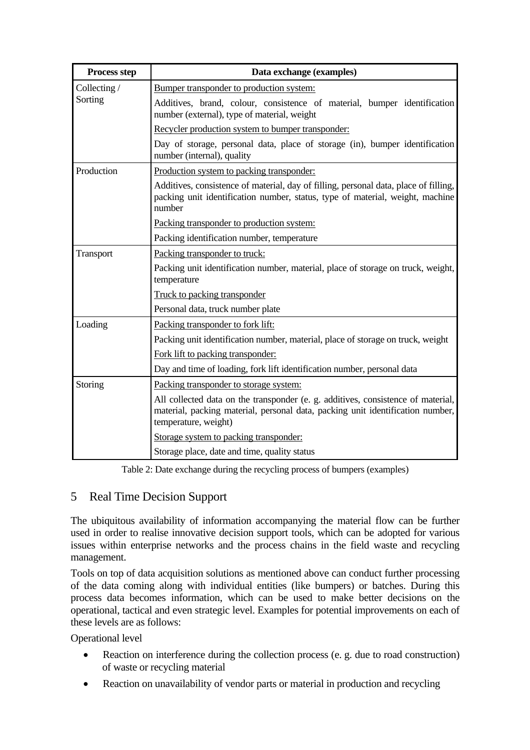| Process step | Data exchange (examples)                                                                                                                                                                   |  |  |  |
|--------------|--------------------------------------------------------------------------------------------------------------------------------------------------------------------------------------------|--|--|--|
| Collecting / | Bumper transponder to production system:                                                                                                                                                   |  |  |  |
| Sorting      | Additives, brand, colour, consistence of material, bumper identification<br>number (external), type of material, weight                                                                    |  |  |  |
|              | Recycler production system to bumper transponder:                                                                                                                                          |  |  |  |
|              | Day of storage, personal data, place of storage (in), bumper identification<br>number (internal), quality                                                                                  |  |  |  |
| Production   | Production system to packing transponder:                                                                                                                                                  |  |  |  |
|              | Additives, consistence of material, day of filling, personal data, place of filling,<br>packing unit identification number, status, type of material, weight, machine<br>number            |  |  |  |
|              | Packing transponder to production system:                                                                                                                                                  |  |  |  |
|              | Packing identification number, temperature                                                                                                                                                 |  |  |  |
| Transport    | Packing transponder to truck:                                                                                                                                                              |  |  |  |
|              | Packing unit identification number, material, place of storage on truck, weight,<br>temperature                                                                                            |  |  |  |
|              | Truck to packing transponder                                                                                                                                                               |  |  |  |
|              | Personal data, truck number plate                                                                                                                                                          |  |  |  |
| Loading      | Packing transponder to fork lift:                                                                                                                                                          |  |  |  |
|              | Packing unit identification number, material, place of storage on truck, weight                                                                                                            |  |  |  |
|              | Fork lift to packing transponder:                                                                                                                                                          |  |  |  |
|              | Day and time of loading, fork lift identification number, personal data                                                                                                                    |  |  |  |
| Storing      | Packing transponder to storage system:                                                                                                                                                     |  |  |  |
|              | All collected data on the transponder (e. g. additives, consistence of material,<br>material, packing material, personal data, packing unit identification number,<br>temperature, weight) |  |  |  |
|              | Storage system to packing transponder:                                                                                                                                                     |  |  |  |
|              | Storage place, date and time, quality status                                                                                                                                               |  |  |  |

<span id="page-4-0"></span>Table 2: Date exchange during the recycling process of bumpers (examples)

# 5 Real Time Decision Support

The ubiquitous availability of information accompanying the material flow can be further used in order to realise innovative decision support tools, which can be adopted for various issues within enterprise networks and the process chains in the field waste and recycling management.

Tools on top of data acquisition solutions as mentioned above can conduct further processing of the data coming along with individual entities (like bumpers) or batches. During this process data becomes information, which can be used to make better decisions on the operational, tactical and even strategic level. Examples for potential improvements on each of these levels are as follows:

Operational level

- Reaction on interference during the collection process (e. g. due to road construction) of waste or recycling material
- Reaction on unavailability of vendor parts or material in production and recycling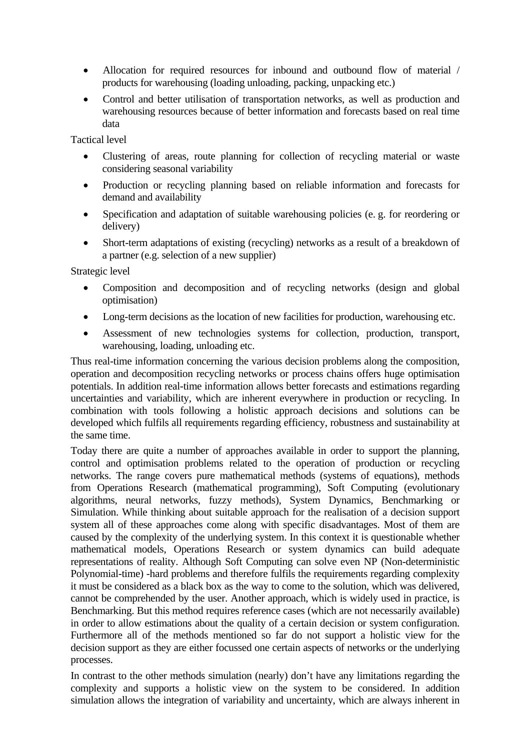- Allocation for required resources for inbound and outbound flow of material / products for warehousing (loading unloading, packing, unpacking etc.)
- Control and better utilisation of transportation networks, as well as production and warehousing resources because of better information and forecasts based on real time data

Tactical level

- Clustering of areas, route planning for collection of recycling material or waste considering seasonal variability
- Production or recycling planning based on reliable information and forecasts for demand and availability
- Specification and adaptation of suitable warehousing policies (e. g. for reordering or delivery)
- Short-term adaptations of existing (recycling) networks as a result of a breakdown of a partner (e.g. selection of a new supplier)

Strategic level

- Composition and decomposition and of recycling networks (design and global optimisation)
- Long-term decisions as the location of new facilities for production, warehousing etc.
- Assessment of new technologies systems for collection, production, transport, warehousing, loading, unloading etc.

Thus real-time information concerning the various decision problems along the composition, operation and decomposition recycling networks or process chains offers huge optimisation potentials. In addition real-time information allows better forecasts and estimations regarding uncertainties and variability, which are inherent everywhere in production or recycling. In combination with tools following a holistic approach decisions and solutions can be developed which fulfils all requirements regarding efficiency, robustness and sustainability at the same time.

Today there are quite a number of approaches available in order to support the planning, control and optimisation problems related to the operation of production or recycling networks. The range covers pure mathematical methods (systems of equations), methods from Operations Research (mathematical programming), Soft Computing (evolutionary algorithms, neural networks, fuzzy methods), System Dynamics, Benchmarking or Simulation. While thinking about suitable approach for the realisation of a decision support system all of these approaches come along with specific disadvantages. Most of them are caused by the complexity of the underlying system. In this context it is questionable whether mathematical models, Operations Research or system dynamics can build adequate representations of reality. Although Soft Computing can solve even NP (Non-deterministic Polynomial-time) -hard problems and therefore fulfils the requirements regarding complexity it must be considered as a black box as the way to come to the solution, which was delivered, cannot be comprehended by the user. Another approach, which is widely used in practice, is Benchmarking. But this method requires reference cases (which are not necessarily available) in order to allow estimations about the quality of a certain decision or system configuration. Furthermore all of the methods mentioned so far do not support a holistic view for the decision support as they are either focussed one certain aspects of networks or the underlying processes.

In contrast to the other methods simulation (nearly) don't have any limitations regarding the complexity and supports a holistic view on the system to be considered. In addition simulation allows the integration of variability and uncertainty, which are always inherent in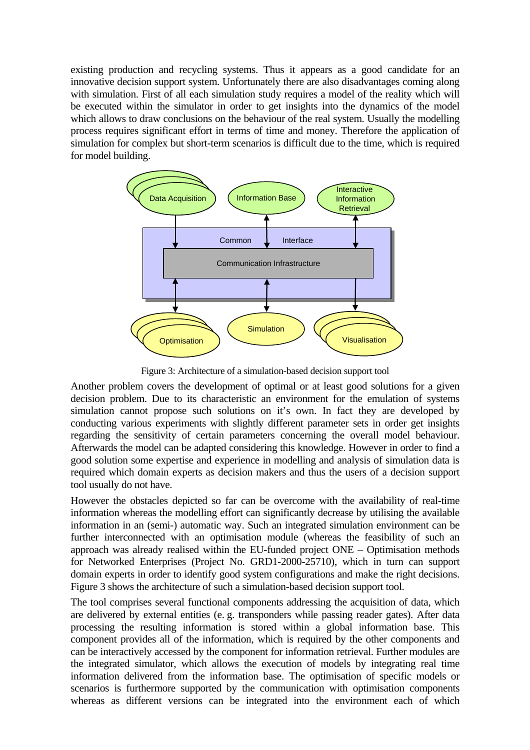existing production and recycling systems. Thus it appears as a good candidate for an innovative decision support system. Unfortunately there are also disadvantages coming along with simulation. First of all each simulation study requires a model of the reality which will be executed within the simulator in order to get insights into the dynamics of the model which allows to draw conclusions on the behaviour of the real system. Usually the modelling process requires significant effort in terms of time and money. Therefore the application of simulation for complex but short-term scenarios is difficult due to the time, which is required for model building.

<span id="page-6-0"></span>

Figure 3: Architecture of a simulation-based decision support tool

Another problem covers the development of optimal or at least good solutions for a given decision problem. Due to its characteristic an environment for the emulation of systems simulation cannot propose such solutions on it's own. In fact they are developed by conducting various experiments with slightly different parameter sets in order get insights regarding the sensitivity of certain parameters concerning the overall model behaviour. Afterwards the model can be adapted considering this knowledge. However in order to find a good solution some expertise and experience in modelling and analysis of simulation data is required which domain experts as decision makers and thus the users of a decision support tool usually do not have.

However the obstacles depicted so far can be overcome with the availability of real-time information whereas the modelling effort can significantly decrease by utilising the available information in an (semi-) automatic way. Such an integrated simulation environment can be further interconnected with an optimisation module (whereas the feasibility of such an approach was already realised within the EU-funded project ONE – Optimisation methods for Networked Enterprises (Project No. GRD1-2000-25710), which in turn can support domain experts in order to identify good system configurations and make the right decisions. [Figure 3](#page-6-0) shows the architecture of such a simulation-based decision support tool.

The tool comprises several functional components addressing the acquisition of data, which are delivered by external entities (e. g. transponders while passing reader gates). After data processing the resulting information is stored within a global information base. This component provides all of the information, which is required by the other components and can be interactively accessed by the component for information retrieval. Further modules are the integrated simulator, which allows the execution of models by integrating real time information delivered from the information base. The optimisation of specific models or scenarios is furthermore supported by the communication with optimisation components whereas as different versions can be integrated into the environment each of which